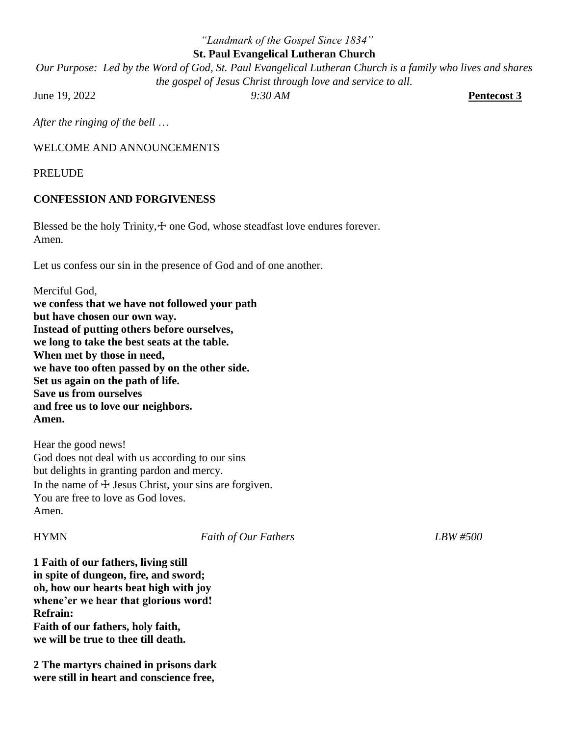## *"Landmark of the Gospel Since 1834"* **St. Paul Evangelical Lutheran Church**

*Our Purpose: Led by the Word of God, St. Paul Evangelical Lutheran Church is a family who lives and shares the gospel of Jesus Christ through love and service to all.*

June 19, 2022 *9:30 AM* **Pentecost 3**

*After the ringing of the bell* …

## WELCOME AND ANNOUNCEMENTS

PRELUDE

# **CONFESSION AND FORGIVENESS**

Blessed be the holy Trinity, $+$  one God, whose steadfast love endures forever. Amen.

Let us confess our sin in the presence of God and of one another.

Merciful God, **we confess that we have not followed your path but have chosen our own way. Instead of putting others before ourselves, we long to take the best seats at the table. When met by those in need, we have too often passed by on the other side. Set us again on the path of life. Save us from ourselves and free us to love our neighbors. Amen.**

Hear the good news! God does not deal with us according to our sins but delights in granting pardon and mercy. In the name of  $\pm$  Jesus Christ, your sins are forgiven. You are free to love as God loves. Amen.

HYMN *Faith of Our Fathers LBW #500*

**1 Faith of our fathers, living still in spite of dungeon, fire, and sword; oh, how our hearts beat high with joy whene'er we hear that glorious word! Refrain: Faith of our fathers, holy faith, we will be true to thee till death.**

**2 The martyrs chained in prisons dark were still in heart and conscience free,**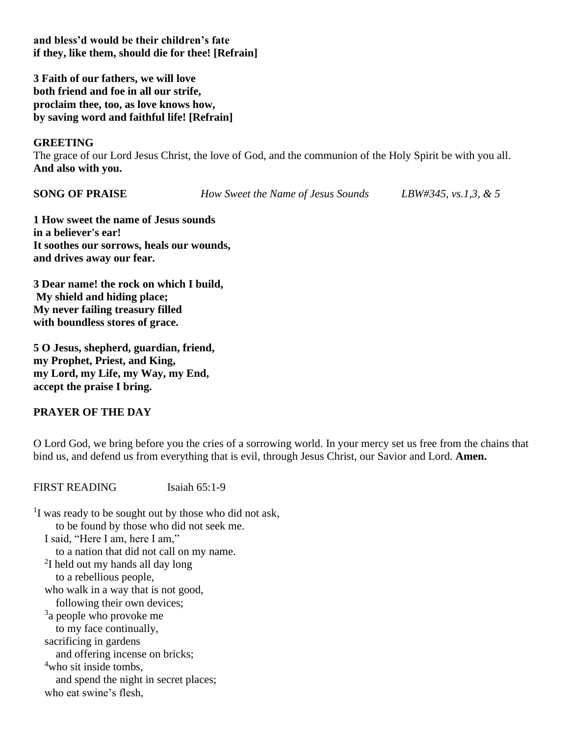**and bless'd would be their children's fate if they, like them, should die for thee! [Refrain]**

**3 Faith of our fathers, we will love both friend and foe in all our strife, proclaim thee, too, as love knows how, by saving word and faithful life! [Refrain]**

### **GREETING**

The grace of our Lord Jesus Christ, the love of God, and the communion of the Holy Spirit be with you all. **And also with you.**

**SONG OF PRAISE** *How Sweet the Name of Jesus Sounds LBW#345, vs.1,3, & 5*

**1 How sweet the name of Jesus sounds in a believer's ear! It soothes our sorrows, heals our wounds, and drives away our fear.**

**3 Dear name! the rock on which I build, My shield and hiding place; My never failing treasury filled with boundless stores of grace.** 

**5 O Jesus, shepherd, guardian, friend, my Prophet, Priest, and King, my Lord, my Life, my Way, my End, accept the praise I bring.**

## **PRAYER OF THE DAY**

O Lord God, we bring before you the cries of a sorrowing world. In your mercy set us free from the chains that bind us, and defend us from everything that is evil, through Jesus Christ, our Savior and Lord. **Amen.**

FIRST READING Isaiah 65:1-9

 $1$ I was ready to be sought out by those who did not ask, to be found by those who did not seek me. I said, "Here I am, here I am," to a nation that did not call on my name. <sup>2</sup>I held out my hands all day long to a rebellious people, who walk in a way that is not good, following their own devices; <sup>3</sup>a people who provoke me to my face continually, sacrificing in gardens and offering incense on bricks; <sup>4</sup>who sit inside tombs. and spend the night in secret places; who eat swine's flesh,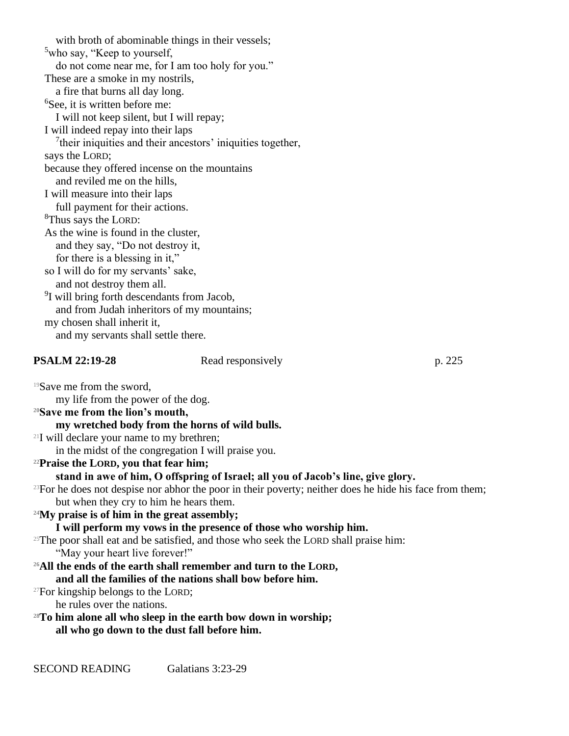with broth of abominable things in their vessels; <sup>5</sup>who say, "Keep to yourself, do not come near me, for I am too holy for you." These are a smoke in my nostrils, a fire that burns all day long. <sup>6</sup>See, it is written before me: I will not keep silent, but I will repay; I will indeed repay into their laps  $7$ their iniquities and their ancestors' iniquities together, says the LORD; because they offered incense on the mountains and reviled me on the hills, I will measure into their laps full payment for their actions. <sup>8</sup>Thus says the LORD: As the wine is found in the cluster, and they say, "Do not destroy it, for there is a blessing in it," so I will do for my servants' sake, and not destroy them all. <sup>9</sup>I will bring forth descendants from Jacob, and from Judah inheritors of my mountains; my chosen shall inherit it, and my servants shall settle there.

### **PSALM 22:19-28** Read responsively p. 225

<sup>19</sup>Save me from the sword, my life from the power of the dog.

**<sup>20</sup>Save me from the lion's mouth,**

**my wretched body from the horns of wild bulls.**

<sup>21</sup>I will declare your name to my brethren;

in the midst of the congregation I will praise you.

**<sup>22</sup>Praise the LORD, you that fear him;**

**stand in awe of him, O offspring of Israel; all you of Jacob's line, give glory.**

 $23$ For he does not despise nor abhor the poor in their poverty; neither does he hide his face from them; but when they cry to him he hears them.

**<sup>24</sup>My praise is of him in the great assembly;**

**I will perform my vows in the presence of those who worship him.**

 $25$ The poor shall eat and be satisfied, and those who seek the LORD shall praise him: "May your heart live forever!"

#### **<sup>26</sup>All the ends of the earth shall remember and turn to the LORD, and all the families of the nations shall bow before him.**

 $27$ For kingship belongs to the LORD;

he rules over the nations.

**<sup>28</sup>To him alone all who sleep in the earth bow down in worship; all who go down to the dust fall before him.**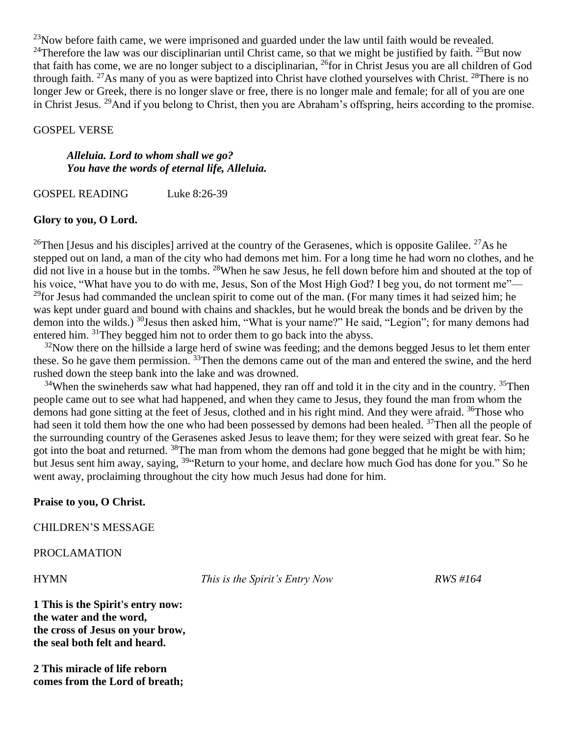$^{23}$ Now before faith came, we were imprisoned and guarded under the law until faith would be revealed. <sup>24</sup>Therefore the law was our disciplinarian until Christ came, so that we might be justified by faith. <sup>25</sup>But now that faith has come, we are no longer subject to a disciplinarian, <sup>26</sup>for in Christ Jesus you are all children of God through faith. <sup>27</sup>As many of you as were baptized into Christ have clothed yourselves with Christ. <sup>28</sup>There is no longer Jew or Greek, there is no longer slave or free, there is no longer male and female; for all of you are one in Christ Jesus. <sup>29</sup>And if you belong to Christ, then you are Abraham's offspring, heirs according to the promise.

#### GOSPEL VERSE

## *Alleluia. Lord to whom shall we go? You have the words of eternal life, Alleluia.*

GOSPEL READING Luke 8:26-39

## **Glory to you, O Lord.**

<sup>26</sup>Then [Jesus and his disciples] arrived at the country of the Gerasenes, which is opposite Galilee. <sup>27</sup>As he stepped out on land, a man of the city who had demons met him. For a long time he had worn no clothes, and he did not live in a house but in the tombs. <sup>28</sup>When he saw Jesus, he fell down before him and shouted at the top of his voice, "What have you to do with me, Jesus, Son of the Most High God? I beg you, do not torment me"— <sup>29</sup>for Jesus had commanded the unclean spirit to come out of the man. (For many times it had seized him; he was kept under guard and bound with chains and shackles, but he would break the bonds and be driven by the demon into the wilds.) <sup>30</sup>Jesus then asked him, "What is your name?" He said, "Legion"; for many demons had entered him. <sup>31</sup>They begged him not to order them to go back into the abyss.

 $32$ Now there on the hillside a large herd of swine was feeding; and the demons begged Jesus to let them enter these. So he gave them permission. <sup>33</sup>Then the demons came out of the man and entered the swine, and the herd rushed down the steep bank into the lake and was drowned.

 $34$ When the swineherds saw what had happened, they ran off and told it in the city and in the country.  $35$ Then people came out to see what had happened, and when they came to Jesus, they found the man from whom the demons had gone sitting at the feet of Jesus, clothed and in his right mind. And they were afraid. <sup>36</sup>Those who had seen it told them how the one who had been possessed by demons had been healed. <sup>37</sup>Then all the people of the surrounding country of the Gerasenes asked Jesus to leave them; for they were seized with great fear. So he got into the boat and returned. <sup>38</sup>The man from whom the demons had gone begged that he might be with him; but Jesus sent him away, saying, <sup>39</sup> Return to your home, and declare how much God has done for you." So he went away, proclaiming throughout the city how much Jesus had done for him.

## **Praise to you, O Christ.**

CHILDREN'S MESSAGE

PROCLAMATION

HYMN *This is the Spirit's Entry Now RWS #164*

**1 This is the Spirit's entry now: the water and the word, the cross of Jesus on your brow, the seal both felt and heard.**

**2 This miracle of life reborn comes from the Lord of breath;**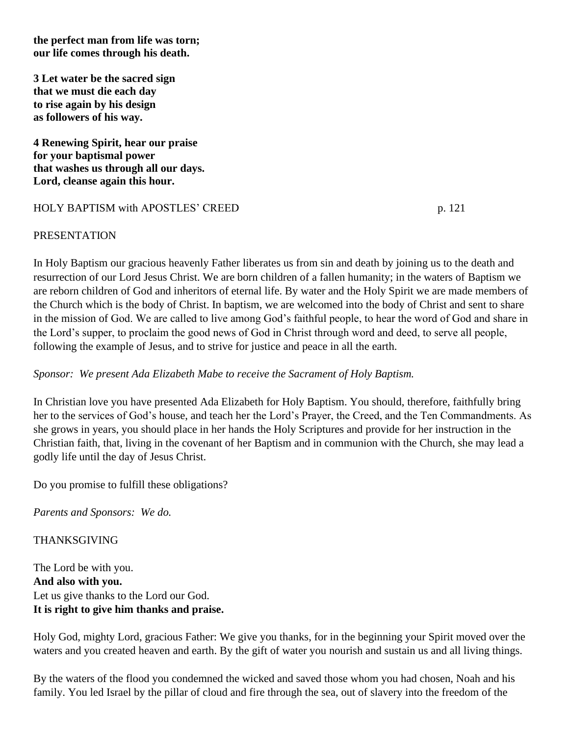**the perfect man from life was torn; our life comes through his death.**

**3 Let water be the sacred sign that we must die each day to rise again by his design as followers of his way.**

**4 Renewing Spirit, hear our praise for your baptismal power that washes us through all our days. Lord, cleanse again this hour.**

# HOLY BAPTISM with APOSTLES' CREED p. 121

## PRESENTATION

In Holy Baptism our gracious heavenly Father liberates us from sin and death by joining us to the death and resurrection of our Lord Jesus Christ. We are born children of a fallen humanity; in the waters of Baptism we are reborn children of God and inheritors of eternal life. By water and the Holy Spirit we are made members of the Church which is the body of Christ. In baptism, we are welcomed into the body of Christ and sent to share in the mission of God. We are called to live among God's faithful people, to hear the word of God and share in the Lord's supper, to proclaim the good news of God in Christ through word and deed, to serve all people, following the example of Jesus, and to strive for justice and peace in all the earth.

*Sponsor: We present Ada Elizabeth Mabe to receive the Sacrament of Holy Baptism.*

In Christian love you have presented Ada Elizabeth for Holy Baptism. You should, therefore, faithfully bring her to the services of God's house, and teach her the Lord's Prayer, the Creed, and the Ten Commandments. As she grows in years, you should place in her hands the Holy Scriptures and provide for her instruction in the Christian faith, that, living in the covenant of her Baptism and in communion with the Church, she may lead a godly life until the day of Jesus Christ.

Do you promise to fulfill these obligations?

*Parents and Sponsors: We do.*

## THANKSGIVING

The Lord be with you. **And also with you.** Let us give thanks to the Lord our God. **It is right to give him thanks and praise.**

Holy God, mighty Lord, gracious Father: We give you thanks, for in the beginning your Spirit moved over the waters and you created heaven and earth. By the gift of water you nourish and sustain us and all living things.

By the waters of the flood you condemned the wicked and saved those whom you had chosen, Noah and his family. You led Israel by the pillar of cloud and fire through the sea, out of slavery into the freedom of the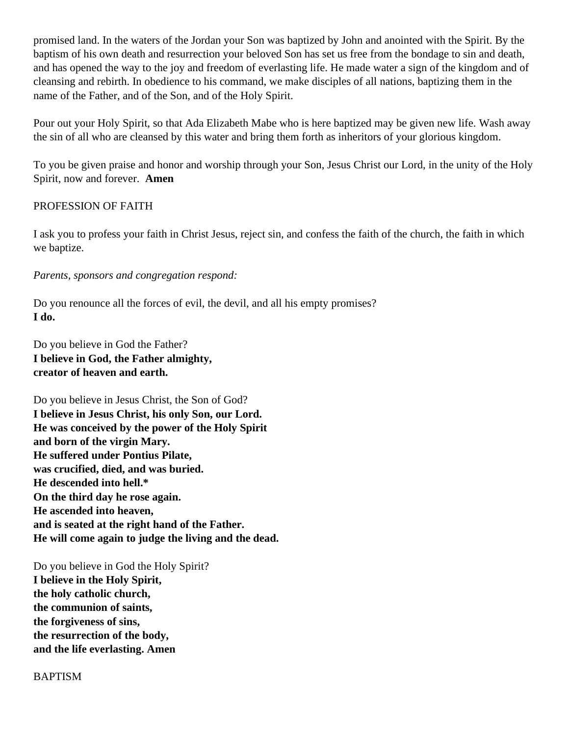promised land. In the waters of the Jordan your Son was baptized by John and anointed with the Spirit. By the baptism of his own death and resurrection your beloved Son has set us free from the bondage to sin and death, and has opened the way to the joy and freedom of everlasting life. He made water a sign of the kingdom and of cleansing and rebirth. In obedience to his command, we make disciples of all nations, baptizing them in the name of the Father, and of the Son, and of the Holy Spirit.

Pour out your Holy Spirit, so that Ada Elizabeth Mabe who is here baptized may be given new life. Wash away the sin of all who are cleansed by this water and bring them forth as inheritors of your glorious kingdom.

To you be given praise and honor and worship through your Son, Jesus Christ our Lord, in the unity of the Holy Spirit, now and forever. **Amen**

# PROFESSION OF FAITH

I ask you to profess your faith in Christ Jesus, reject sin, and confess the faith of the church, the faith in which we baptize.

# *Parents, sponsors and congregation respond:*

Do you renounce all the forces of evil, the devil, and all his empty promises? **I do.**

Do you believe in God the Father? **I believe in God, the Father almighty, creator of heaven and earth.**

Do you believe in Jesus Christ, the Son of God? **I believe in Jesus Christ, his only Son, our Lord. He was conceived by the power of the Holy Spirit and born of the virgin Mary. He suffered under Pontius Pilate, was crucified, died, and was buried. He descended into hell.\* On the third day he rose again. He ascended into heaven, and is seated at the right hand of the Father. He will come again to judge the living and the dead.**

Do you believe in God the Holy Spirit? **I believe in the Holy Spirit, the holy catholic church, the communion of saints, the forgiveness of sins, the resurrection of the body, and the life everlasting. Amen**

# **BAPTISM**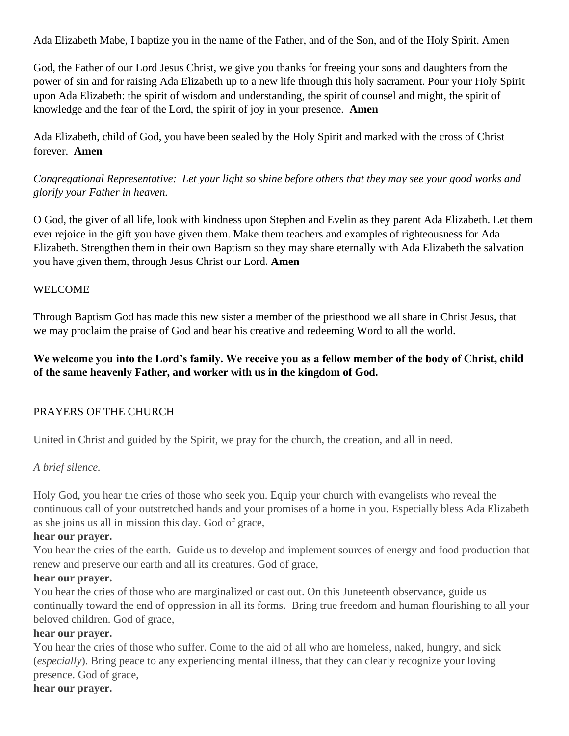Ada Elizabeth Mabe, I baptize you in the name of the Father, and of the Son, and of the Holy Spirit. Amen

God, the Father of our Lord Jesus Christ, we give you thanks for freeing your sons and daughters from the power of sin and for raising Ada Elizabeth up to a new life through this holy sacrament. Pour your Holy Spirit upon Ada Elizabeth: the spirit of wisdom and understanding, the spirit of counsel and might, the spirit of knowledge and the fear of the Lord, the spirit of joy in your presence. **Amen**

Ada Elizabeth, child of God, you have been sealed by the Holy Spirit and marked with the cross of Christ forever. **Amen**

*Congregational Representative: Let your light so shine before others that they may see your good works and glorify your Father in heaven.*

O God, the giver of all life, look with kindness upon Stephen and Evelin as they parent Ada Elizabeth. Let them ever rejoice in the gift you have given them. Make them teachers and examples of righteousness for Ada Elizabeth. Strengthen them in their own Baptism so they may share eternally with Ada Elizabeth the salvation you have given them, through Jesus Christ our Lord. **Amen**

# WELCOME

Through Baptism God has made this new sister a member of the priesthood we all share in Christ Jesus, that we may proclaim the praise of God and bear his creative and redeeming Word to all the world.

# **We welcome you into the Lord's family. We receive you as a fellow member of the body of Christ, child of the same heavenly Father, and worker with us in the kingdom of God.**

# PRAYERS OF THE CHURCH

United in Christ and guided by the Spirit, we pray for the church, the creation, and all in need.

# *A brief silence.*

Holy God, you hear the cries of those who seek you. Equip your church with evangelists who reveal the continuous call of your outstretched hands and your promises of a home in you. Especially bless Ada Elizabeth as she joins us all in mission this day. God of grace,

# **hear our prayer.**

You hear the cries of the earth. Guide us to develop and implement sources of energy and food production that renew and preserve our earth and all its creatures. God of grace,

# **hear our prayer.**

You hear the cries of those who are marginalized or cast out. On this Juneteenth observance, guide us continually toward the end of oppression in all its forms. Bring true freedom and human flourishing to all your beloved children. God of grace,

# **hear our prayer.**

You hear the cries of those who suffer. Come to the aid of all who are homeless, naked, hungry, and sick (*especially*). Bring peace to any experiencing mental illness, that they can clearly recognize your loving presence. God of grace,

## **hear our prayer.**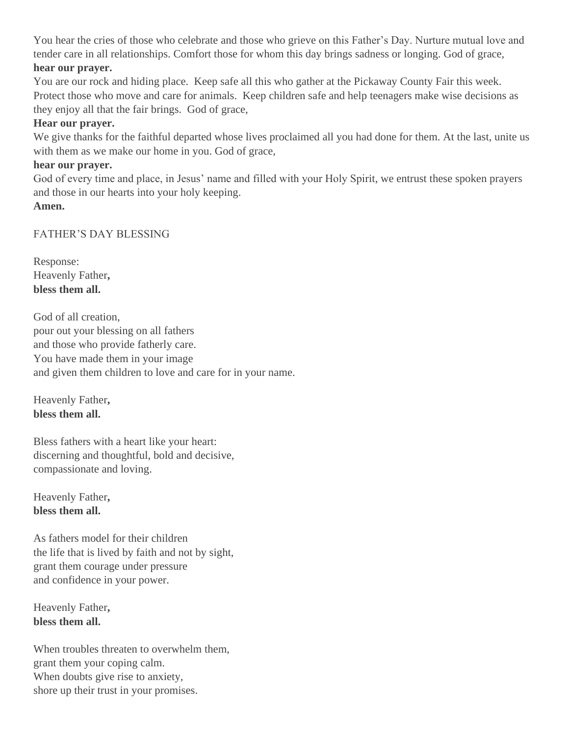You hear the cries of those who celebrate and those who grieve on this Father's Day. Nurture mutual love and tender care in all relationships. Comfort those for whom this day brings sadness or longing. God of grace,

# **hear our prayer.**

You are our rock and hiding place. Keep safe all this who gather at the Pickaway County Fair this week. Protect those who move and care for animals. Keep children safe and help teenagers make wise decisions as they enjoy all that the fair brings. God of grace,

# **Hear our prayer.**

We give thanks for the faithful departed whose lives proclaimed all you had done for them. At the last, unite us with them as we make our home in you. God of grace,

# **hear our prayer.**

God of every time and place, in Jesus' name and filled with your Holy Spirit, we entrust these spoken prayers and those in our hearts into your holy keeping.

**Amen.**

# FATHER'S DAY BLESSING

Response: Heavenly Father**, bless them all.** 

God of all creation, pour out your blessing on all fathers and those who provide fatherly care. You have made them in your image and given them children to love and care for in your name.

Heavenly Father**, bless them all.** 

Bless fathers with a heart like your heart: discerning and thoughtful, bold and decisive, compassionate and loving.

Heavenly Father**, bless them all.** 

As fathers model for their children the life that is lived by faith and not by sight, grant them courage under pressure and confidence in your power.

Heavenly Father**, bless them all.** 

When troubles threaten to overwhelm them, grant them your coping calm. When doubts give rise to anxiety, shore up their trust in your promises.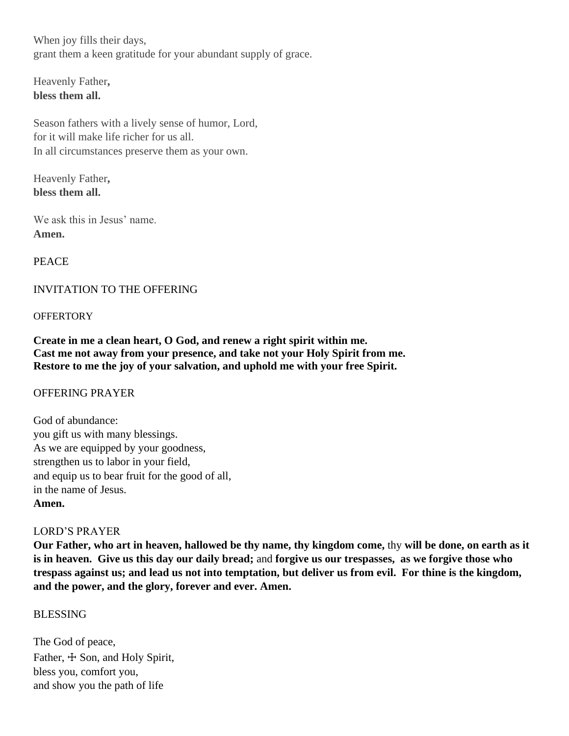When joy fills their days, grant them a keen gratitude for your abundant supply of grace.

Heavenly Father**, bless them all.** 

Season fathers with a lively sense of humor, Lord, for it will make life richer for us all. In all circumstances preserve them as your own.

Heavenly Father**, bless them all.** 

We ask this in Jesus' name. **Amen.**

# PEACE

# INVITATION TO THE OFFERING

## **OFFERTORY**

**Create in me a clean heart, O God, and renew a right spirit within me. Cast me not away from your presence, and take not your Holy Spirit from me. Restore to me the joy of your salvation, and uphold me with your free Spirit.**

# OFFERING PRAYER

God of abundance: you gift us with many blessings. As we are equipped by your goodness, strengthen us to labor in your field, and equip us to bear fruit for the good of all, in the name of Jesus. **Amen.**

# LORD'S PRAYER

**Our Father, who art in heaven, hallowed be thy name, thy kingdom come,** thy **will be done, on earth as it is in heaven. Give us this day our daily bread;** and **forgive us our trespasses, as we forgive those who trespass against us; and lead us not into temptation, but deliver us from evil. For thine is the kingdom, and the power, and the glory, forever and ever. Amen.**

# BLESSING

The God of peace, Father,  $\pm$  Son, and Holy Spirit, bless you, comfort you, and show you the path of life